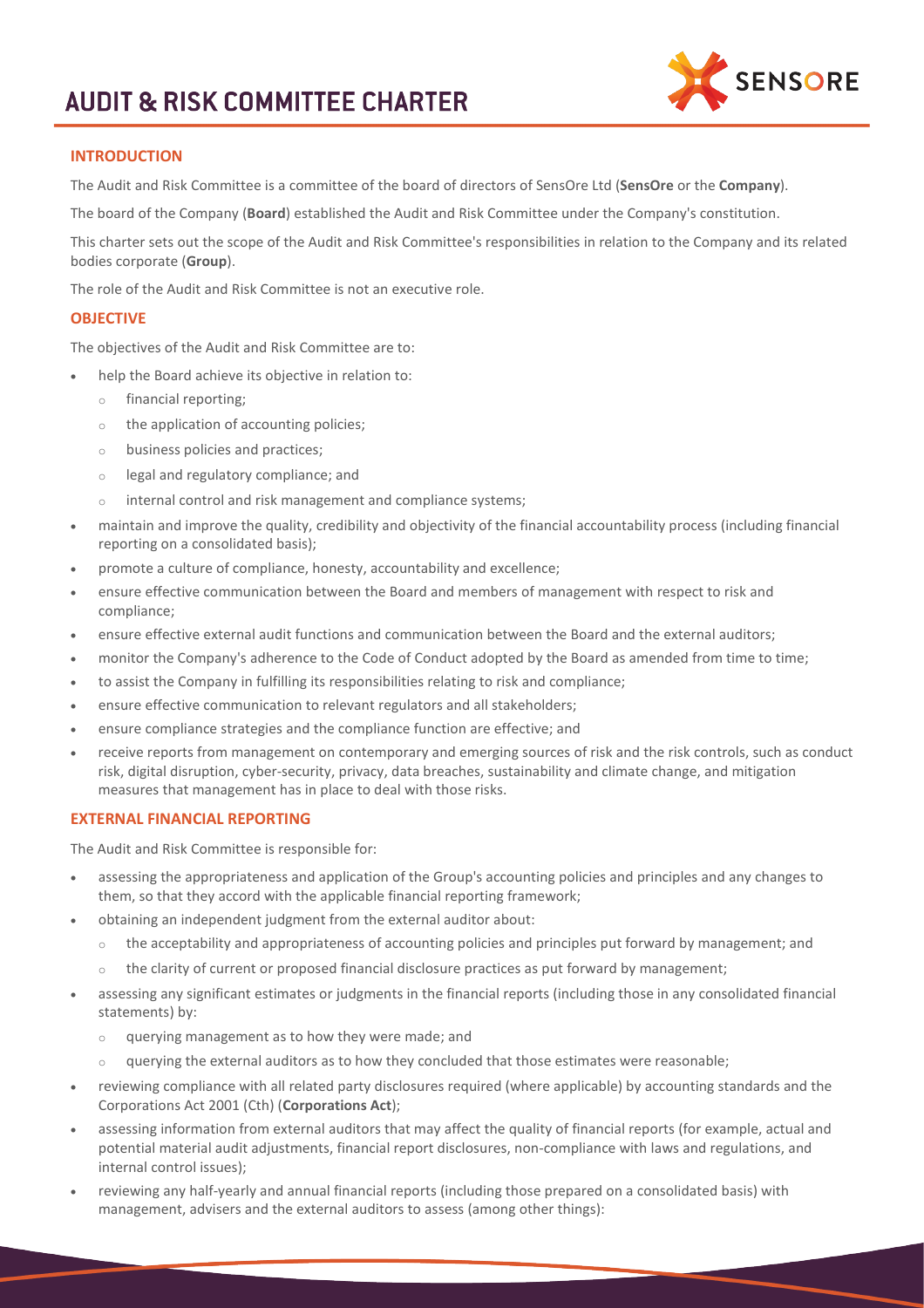

## **INTRODUCTION**

The Audit and Risk Committee is a committee of the board of directors of SensOre Ltd (**SensOre** or the **Company**).

The board of the Company (**Board**) established the Audit and Risk Committee under the Company's constitution.

This charter sets out the scope of the Audit and Risk Committee's responsibilities in relation to the Company and its related bodies corporate (**Group**).

The role of the Audit and Risk Committee is not an executive role.

### **OBJECTIVE**

The objectives of the Audit and Risk Committee are to:

- help the Board achieve its objective in relation to:
	- o financial reporting;
	- o the application of accounting policies;
	- o business policies and practices;
	- o legal and regulatory compliance; and
	- o internal control and risk management and compliance systems;
- maintain and improve the quality, credibility and objectivity of the financial accountability process (including financial reporting on a consolidated basis);
- promote a culture of compliance, honesty, accountability and excellence;
- ensure effective communication between the Board and members of management with respect to risk and compliance;
- ensure effective external audit functions and communication between the Board and the external auditors;
- monitor the Company's adherence to the Code of Conduct adopted by the Board as amended from time to time;
- to assist the Company in fulfilling its responsibilities relating to risk and compliance;
- ensure effective communication to relevant regulators and all stakeholders;
- ensure compliance strategies and the compliance function are effective; and
- receive reports from management on contemporary and emerging sources of risk and the risk controls, such as conduct risk, digital disruption, cyber-security, privacy, data breaches, sustainability and climate change, and mitigation measures that management has in place to deal with those risks.

### **EXTERNAL FINANCIAL REPORTING**

The Audit and Risk Committee is responsible for:

- assessing the appropriateness and application of the Group's accounting policies and principles and any changes to them, so that they accord with the applicable financial reporting framework;
- obtaining an independent judgment from the external auditor about:
	- o the acceptability and appropriateness of accounting policies and principles put forward by management; and
	- $\circ$  the clarity of current or proposed financial disclosure practices as put forward by management;
- assessing any significant estimates or judgments in the financial reports (including those in any consolidated financial statements) by:
	- o querying management as to how they were made; and
	- querying the external auditors as to how they concluded that those estimates were reasonable;
- reviewing compliance with all related party disclosures required (where applicable) by accounting standards and the Corporations Act 2001 (Cth) (**Corporations Act**);
- assessing information from external auditors that may affect the quality of financial reports (for example, actual and potential material audit adjustments, financial report disclosures, non-compliance with laws and regulations, and internal control issues);
- reviewing any half-yearly and annual financial reports (including those prepared on a consolidated basis) with management, advisers and the external auditors to assess (among other things):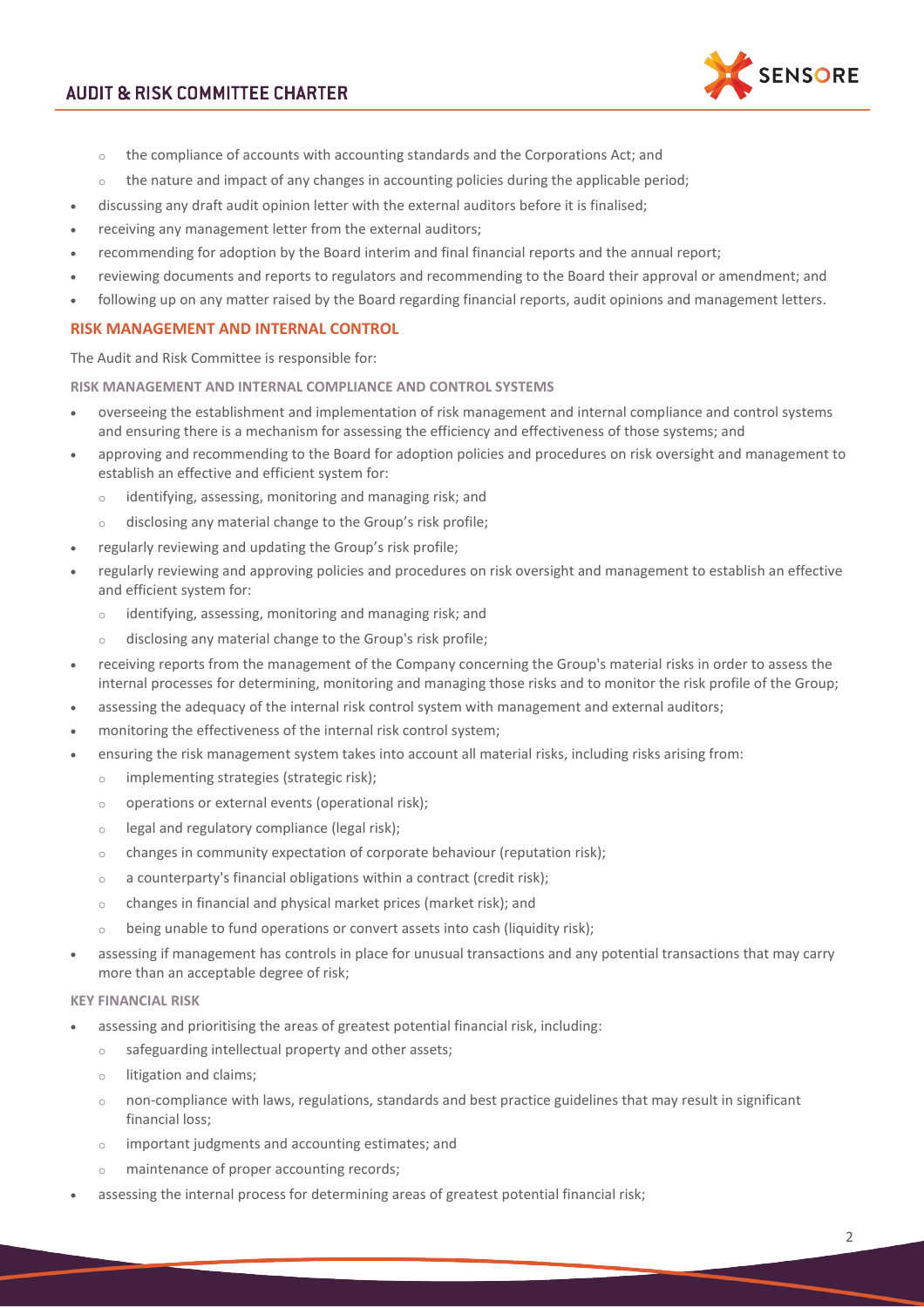

- o the compliance of accounts with accounting standards and the Corporations Act; and
- $\circ$  the nature and impact of any changes in accounting policies during the applicable period;
- discussing any draft audit opinion letter with the external auditors before it is finalised;
- receiving any management letter from the external auditors;
- recommending for adoption by the Board interim and final financial reports and the annual report;
- reviewing documents and reports to regulators and recommending to the Board their approval or amendment; and
- following up on any matter raised by the Board regarding financial reports, audit opinions and management letters.

### **RISK MANAGEMENT AND INTERNAL CONTROL**

The Audit and Risk Committee is responsible for:

### **RISK MANAGEMENT AND INTERNAL COMPLIANCE AND CONTROL SYSTEMS**

- overseeing the establishment and implementation of risk management and internal compliance and control systems and ensuring there is a mechanism for assessing the efficiency and effectiveness of those systems; and
- approving and recommending to the Board for adoption policies and procedures on risk oversight and management to establish an effective and efficient system for:
	- o identifying, assessing, monitoring and managing risk; and
	- o disclosing any material change to the Group's risk profile;
- regularly reviewing and updating the Group's risk profile;
- regularly reviewing and approving policies and procedures on risk oversight and management to establish an effective and efficient system for:
	- identifying, assessing, monitoring and managing risk; and
	- o disclosing any material change to the Group's risk profile;
- receiving reports from the management of the Company concerning the Group's material risks in order to assess the internal processes for determining, monitoring and managing those risks and to monitor the risk profile of the Group;
- assessing the adequacy of the internal risk control system with management and external auditors;
- monitoring the effectiveness of the internal risk control system;
- ensuring the risk management system takes into account all material risks, including risks arising from:
	- o implementing strategies (strategic risk);
	- o operations or external events (operational risk);
	- o legal and regulatory compliance (legal risk);
	- o changes in community expectation of corporate behaviour (reputation risk);
	- o a counterparty's financial obligations within a contract (credit risk);
	- o changes in financial and physical market prices (market risk); and
	- $\circ$  being unable to fund operations or convert assets into cash (liquidity risk);
- assessing if management has controls in place for unusual transactions and any potential transactions that may carry more than an acceptable degree of risk;

#### **KEY FINANCIAL RISK**

- assessing and prioritising the areas of greatest potential financial risk, including:
	- o safeguarding intellectual property and other assets;
	- o litigation and claims;
	- o non-compliance with laws, regulations, standards and best practice guidelines that may result in significant financial loss;
	- o important judgments and accounting estimates; and
	- o maintenance of proper accounting records;
- assessing the internal process for determining areas of greatest potential financial risk;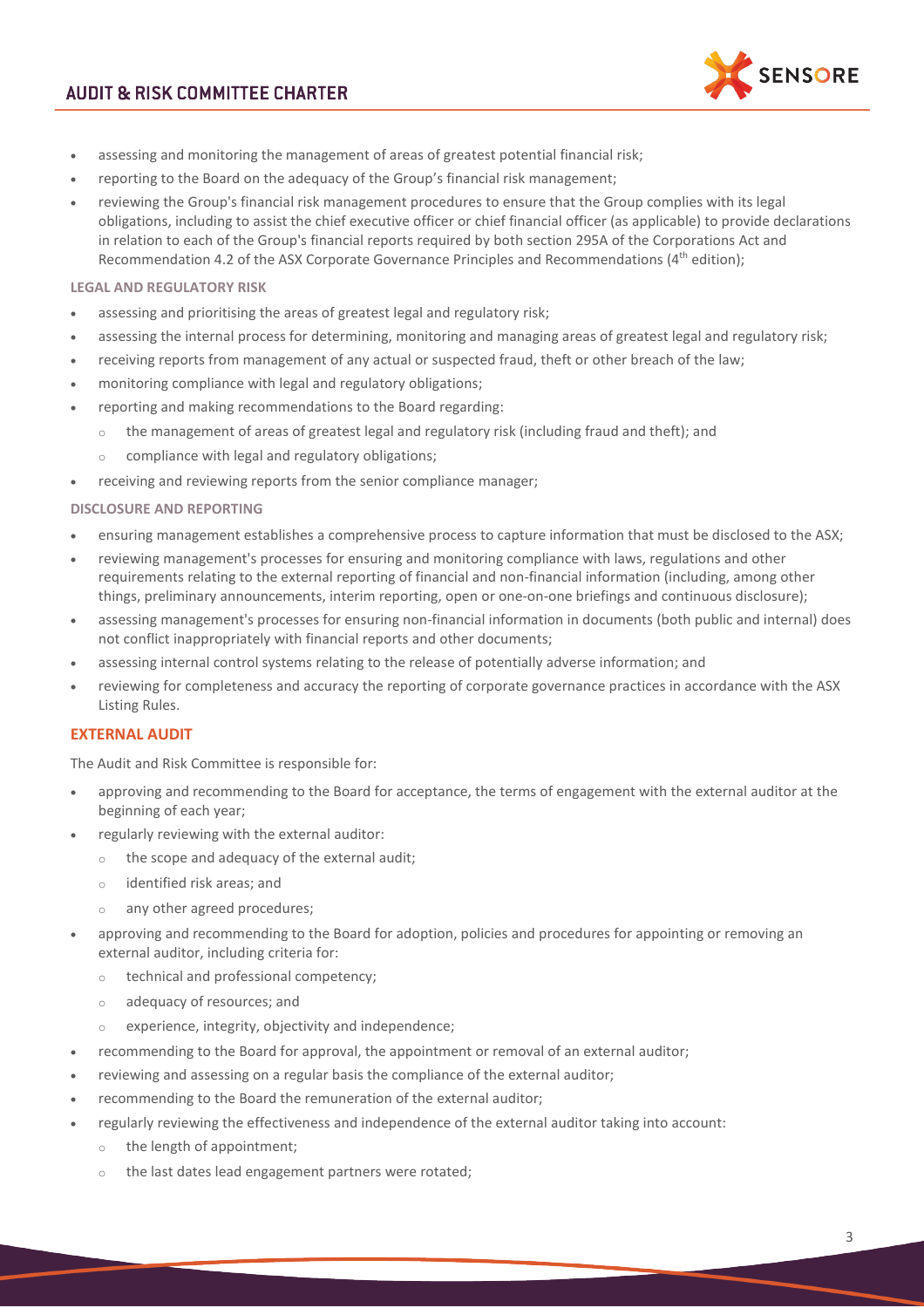

- assessing and monitoring the management of areas of greatest potential financial risk;
- reporting to the Board on the adequacy of the Group's financial risk management;
- reviewing the Group's financial risk management procedures to ensure that the Group complies with its legal obligations, including to assist the chief executive officer or chief financial officer (as applicable) to provide declarations in relation to each of the Group's financial reports required by both section 295A of the Corporations Act and Recommendation 4.2 of the ASX Corporate Governance Principles and Recommendations (4<sup>th</sup> edition);

### **LEGAL AND REGULATORY RISK**

- assessing and prioritising the areas of greatest legal and regulatory risk;
- assessing the internal process for determining, monitoring and managing areas of greatest legal and regulatory risk;
- receiving reports from management of any actual or suspected fraud, theft or other breach of the law;
- monitoring compliance with legal and regulatory obligations;
- reporting and making recommendations to the Board regarding:
	- $\circ$  the management of areas of greatest legal and regulatory risk (including fraud and theft); and
		- o compliance with legal and regulatory obligations;
- receiving and reviewing reports from the senior compliance manager;

### **DISCLOSURE AND REPORTING**

- ensuring management establishes a comprehensive process to capture information that must be disclosed to the ASX;
- reviewing management's processes for ensuring and monitoring compliance with laws, regulations and other requirements relating to the external reporting of financial and non-financial information (including, among other things, preliminary announcements, interim reporting, open or one-on-one briefings and continuous disclosure);
- assessing management's processes for ensuring non-financial information in documents (both public and internal) does not conflict inappropriately with financial reports and other documents;
- assessing internal control systems relating to the release of potentially adverse information; and
- reviewing for completeness and accuracy the reporting of corporate governance practices in accordance with the ASX Listing Rules.

### **EXTERNAL AUDIT**

The Audit and Risk Committee is responsible for:

- approving and recommending to the Board for acceptance, the terms of engagement with the external auditor at the beginning of each year;
- regularly reviewing with the external auditor:
	- o the scope and adequacy of the external audit;
	- o identified risk areas; and
	- o any other agreed procedures;
- approving and recommending to the Board for adoption, policies and procedures for appointing or removing an external auditor, including criteria for:
	- o technical and professional competency;
	- o adequacy of resources; and
	- o experience, integrity, objectivity and independence;
- recommending to the Board for approval, the appointment or removal of an external auditor;
- reviewing and assessing on a regular basis the compliance of the external auditor;
- recommending to the Board the remuneration of the external auditor;
- regularly reviewing the effectiveness and independence of the external auditor taking into account:
	- o the length of appointment;
	- o the last dates lead engagement partners were rotated;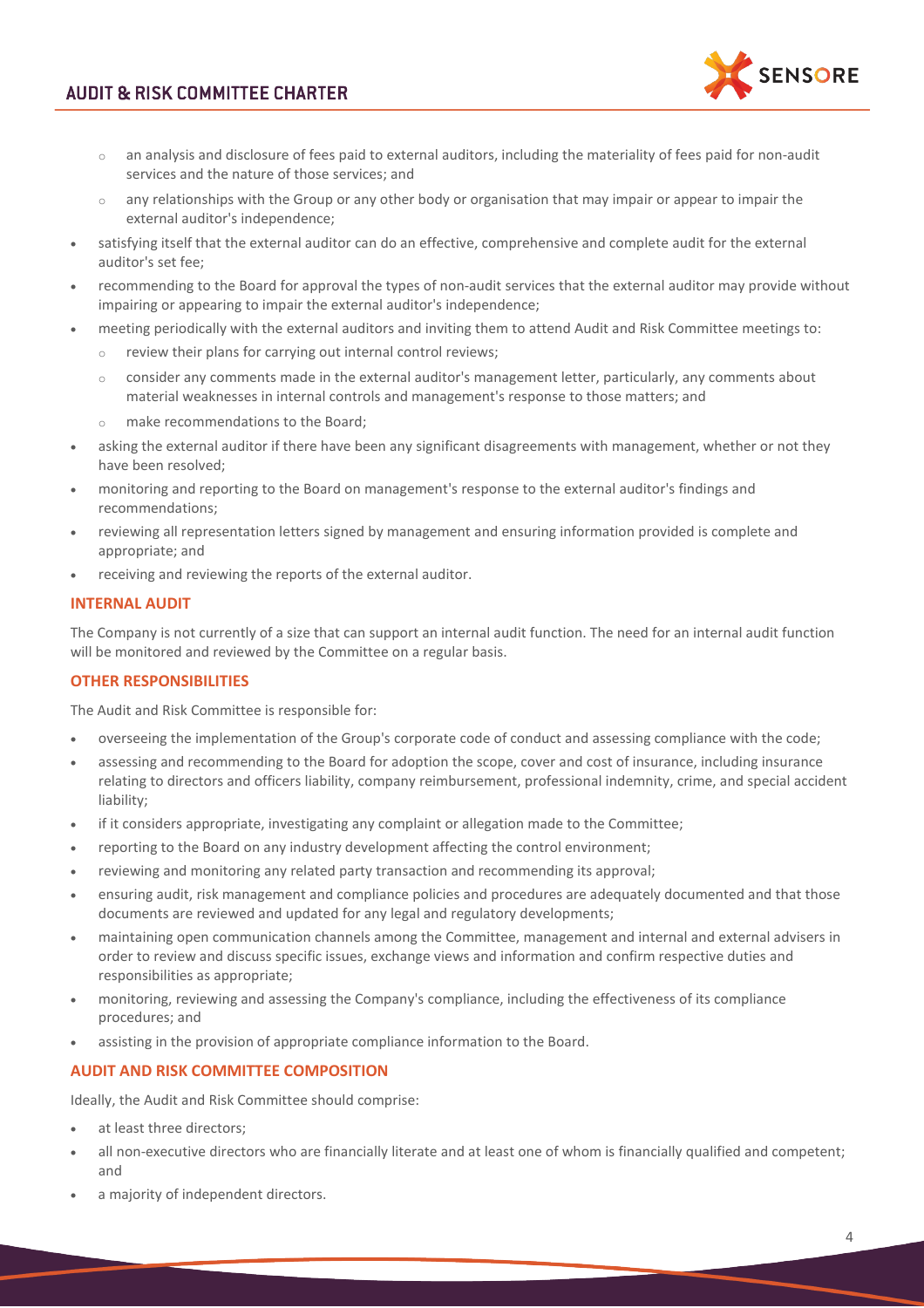

- o an analysis and disclosure of fees paid to external auditors, including the materiality of fees paid for non-audit services and the nature of those services; and
- $\circ$  any relationships with the Group or any other body or organisation that may impair or appear to impair the external auditor's independence;
- satisfying itself that the external auditor can do an effective, comprehensive and complete audit for the external auditor's set fee;
- recommending to the Board for approval the types of non-audit services that the external auditor may provide without impairing or appearing to impair the external auditor's independence;
- meeting periodically with the external auditors and inviting them to attend Audit and Risk Committee meetings to:
	- o review their plans for carrying out internal control reviews;
	- $\circ$  consider any comments made in the external auditor's management letter, particularly, any comments about material weaknesses in internal controls and management's response to those matters; and
	- o make recommendations to the Board;
- asking the external auditor if there have been any significant disagreements with management, whether or not they have been resolved;
- monitoring and reporting to the Board on management's response to the external auditor's findings and recommendations;
- reviewing all representation letters signed by management and ensuring information provided is complete and appropriate; and
- receiving and reviewing the reports of the external auditor.

# **INTERNAL AUDIT**

The Company is not currently of a size that can support an internal audit function. The need for an internal audit function will be monitored and reviewed by the Committee on a regular basis.

# **OTHER RESPONSIBILITIES**

The Audit and Risk Committee is responsible for:

- overseeing the implementation of the Group's corporate code of conduct and assessing compliance with the code;
- assessing and recommending to the Board for adoption the scope, cover and cost of insurance, including insurance relating to directors and officers liability, company reimbursement, professional indemnity, crime, and special accident liability;
- if it considers appropriate, investigating any complaint or allegation made to the Committee;
- reporting to the Board on any industry development affecting the control environment;
- reviewing and monitoring any related party transaction and recommending its approval;
- ensuring audit, risk management and compliance policies and procedures are adequately documented and that those documents are reviewed and updated for any legal and regulatory developments;
- maintaining open communication channels among the Committee, management and internal and external advisers in order to review and discuss specific issues, exchange views and information and confirm respective duties and responsibilities as appropriate;
- monitoring, reviewing and assessing the Company's compliance, including the effectiveness of its compliance procedures; and
- assisting in the provision of appropriate compliance information to the Board.

### **AUDIT AND RISK COMMITTEE COMPOSITION**

Ideally, the Audit and Risk Committee should comprise:

- at least three directors;
- all non-executive directors who are financially literate and at least one of whom is financially qualified and competent; and
- a majority of independent directors.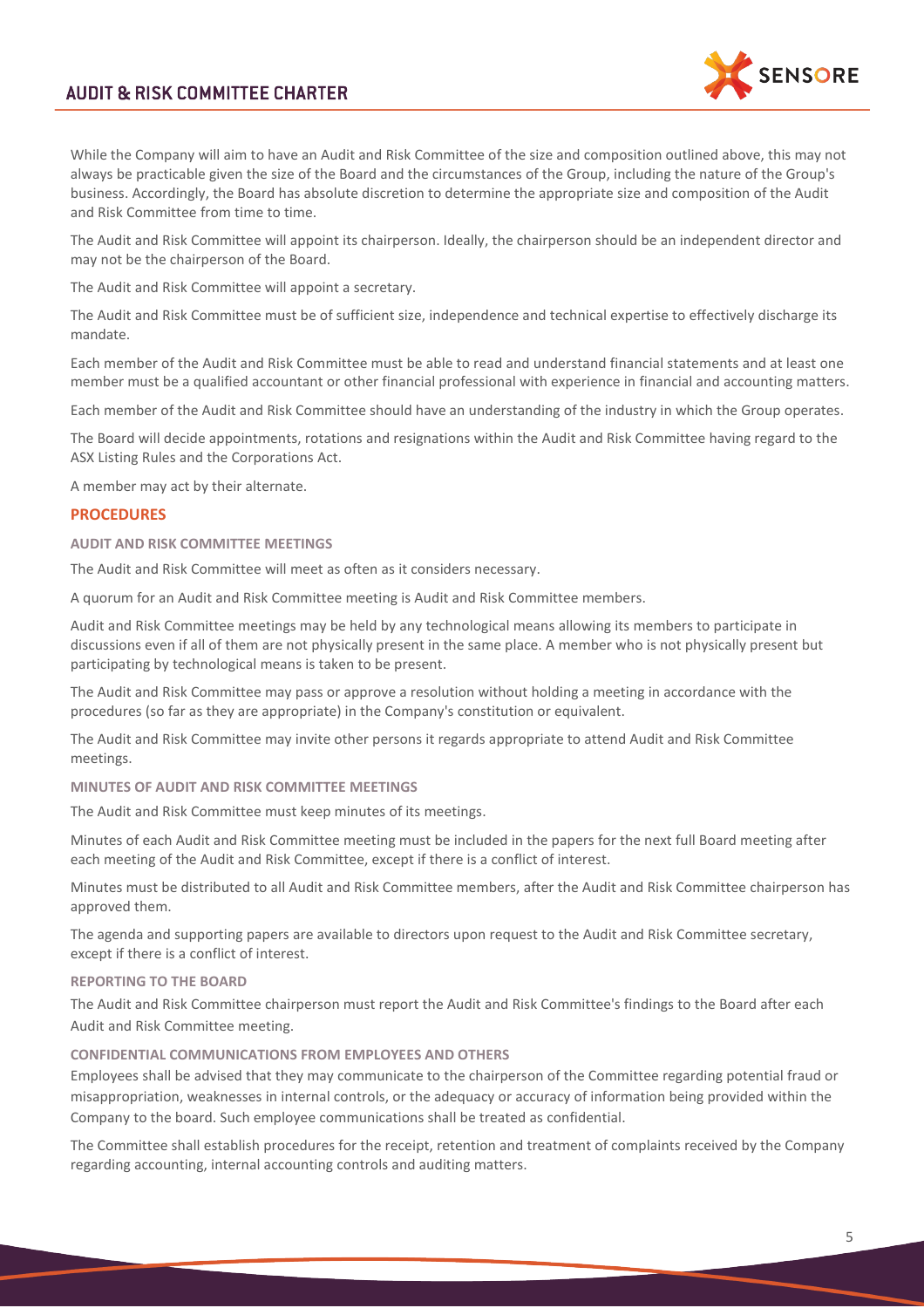

While the Company will aim to have an Audit and Risk Committee of the size and composition outlined above, this may not always be practicable given the size of the Board and the circumstances of the Group, including the nature of the Group's business. Accordingly, the Board has absolute discretion to determine the appropriate size and composition of the Audit and Risk Committee from time to time.

The Audit and Risk Committee will appoint its chairperson. Ideally, the chairperson should be an independent director and may not be the chairperson of the Board.

The Audit and Risk Committee will appoint a secretary.

The Audit and Risk Committee must be of sufficient size, independence and technical expertise to effectively discharge its mandate.

Each member of the Audit and Risk Committee must be able to read and understand financial statements and at least one member must be a qualified accountant or other financial professional with experience in financial and accounting matters.

Each member of the Audit and Risk Committee should have an understanding of the industry in which the Group operates.

The Board will decide appointments, rotations and resignations within the Audit and Risk Committee having regard to the ASX Listing Rules and the Corporations Act.

A member may act by their alternate.

### **PROCEDURES**

#### **AUDIT AND RISK COMMITTEE MEETINGS**

The Audit and Risk Committee will meet as often as it considers necessary.

A quorum for an Audit and Risk Committee meeting is Audit and Risk Committee members.

Audit and Risk Committee meetings may be held by any technological means allowing its members to participate in discussions even if all of them are not physically present in the same place. A member who is not physically present but participating by technological means is taken to be present.

The Audit and Risk Committee may pass or approve a resolution without holding a meeting in accordance with the procedures (so far as they are appropriate) in the Company's constitution or equivalent.

The Audit and Risk Committee may invite other persons it regards appropriate to attend Audit and Risk Committee meetings.

**MINUTES OF AUDIT AND RISK COMMITTEE MEETINGS**

The Audit and Risk Committee must keep minutes of its meetings.

Minutes of each Audit and Risk Committee meeting must be included in the papers for the next full Board meeting after each meeting of the Audit and Risk Committee, except if there is a conflict of interest.

Minutes must be distributed to all Audit and Risk Committee members, after the Audit and Risk Committee chairperson has approved them.

The agenda and supporting papers are available to directors upon request to the Audit and Risk Committee secretary, except if there is a conflict of interest.

### **REPORTING TO THE BOARD**

The Audit and Risk Committee chairperson must report the Audit and Risk Committee's findings to the Board after each Audit and Risk Committee meeting.

#### **CONFIDENTIAL COMMUNICATIONS FROM EMPLOYEES AND OTHERS**

Employees shall be advised that they may communicate to the chairperson of the Committee regarding potential fraud or misappropriation, weaknesses in internal controls, or the adequacy or accuracy of information being provided within the Company to the board. Such employee communications shall be treated as confidential.

The Committee shall establish procedures for the receipt, retention and treatment of complaints received by the Company regarding accounting, internal accounting controls and auditing matters.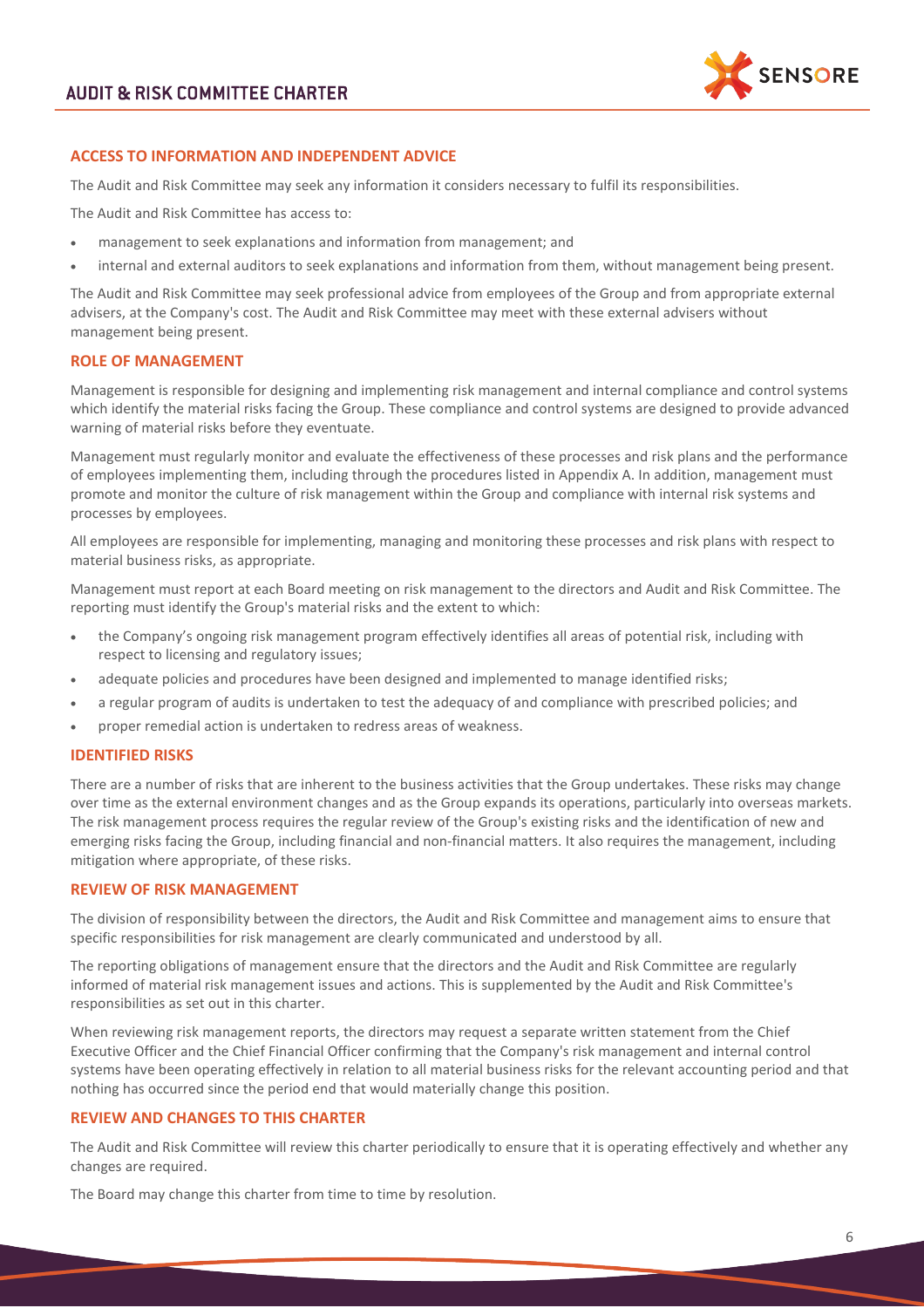

### **ACCESS TO INFORMATION AND INDEPENDENT ADVICE**

The Audit and Risk Committee may seek any information it considers necessary to fulfil its responsibilities.

The Audit and Risk Committee has access to:

- management to seek explanations and information from management; and
- internal and external auditors to seek explanations and information from them, without management being present.

The Audit and Risk Committee may seek professional advice from employees of the Group and from appropriate external advisers, at the Company's cost. The Audit and Risk Committee may meet with these external advisers without management being present.

### **ROLE OF MANAGEMENT**

Management is responsible for designing and implementing risk management and internal compliance and control systems which identify the material risks facing the Group. These compliance and control systems are designed to provide advanced warning of material risks before they eventuate.

Management must regularly monitor and evaluate the effectiveness of these processes and risk plans and the performance of employees implementing them, including through the procedures listed in Appendix A. In addition, management must promote and monitor the culture of risk management within the Group and compliance with internal risk systems and processes by employees.

All employees are responsible for implementing, managing and monitoring these processes and risk plans with respect to material business risks, as appropriate.

Management must report at each Board meeting on risk management to the directors and Audit and Risk Committee. The reporting must identify the Group's material risks and the extent to which:

- the Company's ongoing risk management program effectively identifies all areas of potential risk, including with respect to licensing and regulatory issues;
- adequate policies and procedures have been designed and implemented to manage identified risks;
- a regular program of audits is undertaken to test the adequacy of and compliance with prescribed policies; and
- proper remedial action is undertaken to redress areas of weakness.

### **IDENTIFIED RISKS**

There are a number of risks that are inherent to the business activities that the Group undertakes. These risks may change over time as the external environment changes and as the Group expands its operations, particularly into overseas markets. The risk management process requires the regular review of the Group's existing risks and the identification of new and emerging risks facing the Group, including financial and non-financial matters. It also requires the management, including mitigation where appropriate, of these risks.

### **REVIEW OF RISK MANAGEMENT**

The division of responsibility between the directors, the Audit and Risk Committee and management aims to ensure that specific responsibilities for risk management are clearly communicated and understood by all.

The reporting obligations of management ensure that the directors and the Audit and Risk Committee are regularly informed of material risk management issues and actions. This is supplemented by the Audit and Risk Committee's responsibilities as set out in this charter.

When reviewing risk management reports, the directors may request a separate written statement from the Chief Executive Officer and the Chief Financial Officer confirming that the Company's risk management and internal control systems have been operating effectively in relation to all material business risks for the relevant accounting period and that nothing has occurred since the period end that would materially change this position.

### **REVIEW AND CHANGES TO THIS CHARTER**

The Audit and Risk Committee will review this charter periodically to ensure that it is operating effectively and whether any changes are required.

The Board may change this charter from time to time by resolution.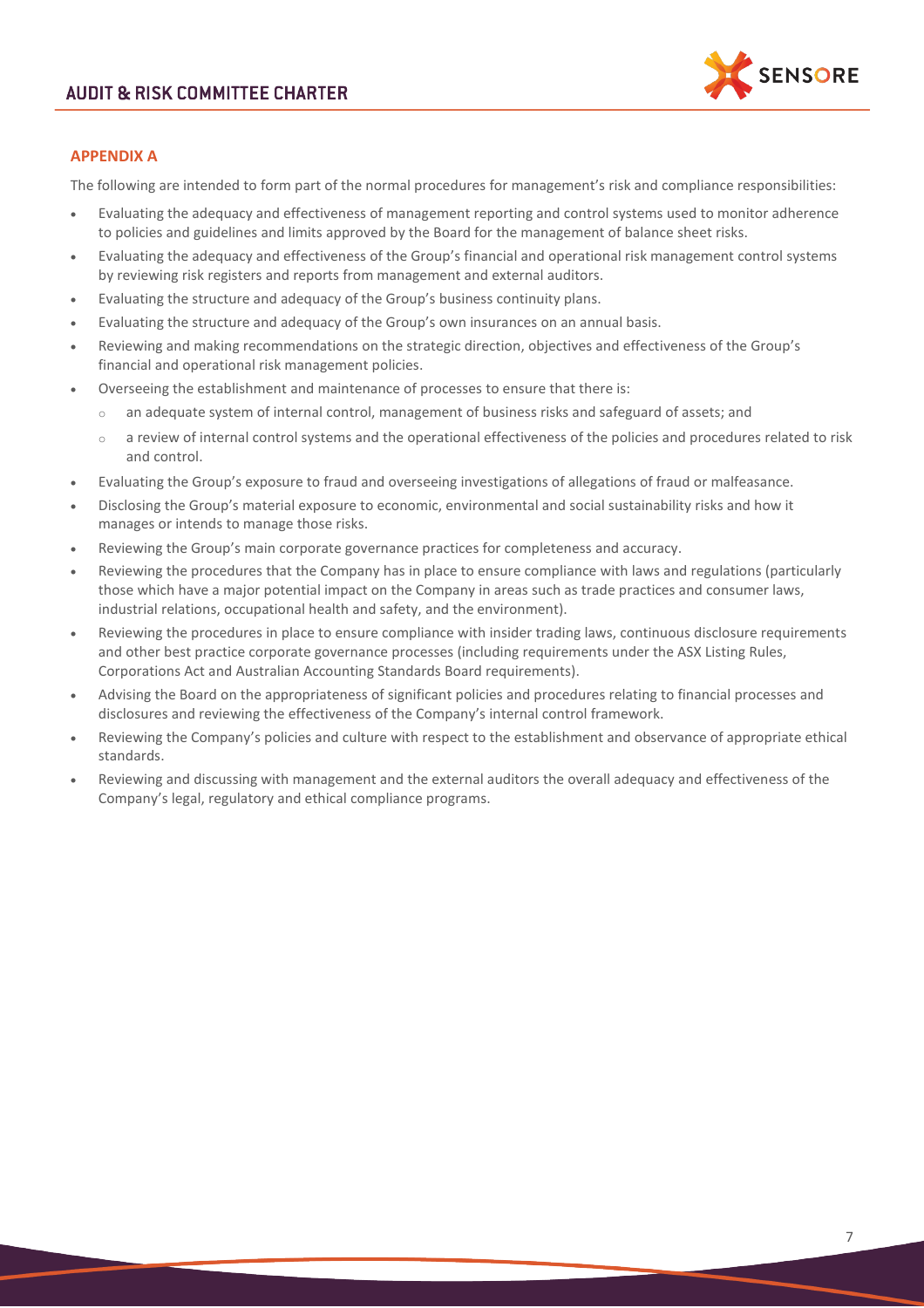

### **APPENDIX A**

The following are intended to form part of the normal procedures for management's risk and compliance responsibilities:

- Evaluating the adequacy and effectiveness of management reporting and control systems used to monitor adherence to policies and guidelines and limits approved by the Board for the management of balance sheet risks.
- Evaluating the adequacy and effectiveness of the Group's financial and operational risk management control systems by reviewing risk registers and reports from management and external auditors.
- Evaluating the structure and adequacy of the Group's business continuity plans.
- Evaluating the structure and adequacy of the Group's own insurances on an annual basis.
- Reviewing and making recommendations on the strategic direction, objectives and effectiveness of the Group's financial and operational risk management policies.
- Overseeing the establishment and maintenance of processes to ensure that there is:
	- $\circ$  an adequate system of internal control, management of business risks and safeguard of assets; and
	- $\circ$  a review of internal control systems and the operational effectiveness of the policies and procedures related to risk and control.
- Evaluating the Group's exposure to fraud and overseeing investigations of allegations of fraud or malfeasance.
- Disclosing the Group's material exposure to economic, environmental and social sustainability risks and how it manages or intends to manage those risks.
- Reviewing the Group's main corporate governance practices for completeness and accuracy.
- Reviewing the procedures that the Company has in place to ensure compliance with laws and regulations (particularly those which have a major potential impact on the Company in areas such as trade practices and consumer laws, industrial relations, occupational health and safety, and the environment).
- Reviewing the procedures in place to ensure compliance with insider trading laws, continuous disclosure requirements and other best practice corporate governance processes (including requirements under the ASX Listing Rules, Corporations Act and Australian Accounting Standards Board requirements).
- Advising the Board on the appropriateness of significant policies and procedures relating to financial processes and disclosures and reviewing the effectiveness of the Company's internal control framework.
- Reviewing the Company's policies and culture with respect to the establishment and observance of appropriate ethical standards.
- Reviewing and discussing with management and the external auditors the overall adequacy and effectiveness of the Company's legal, regulatory and ethical compliance programs.